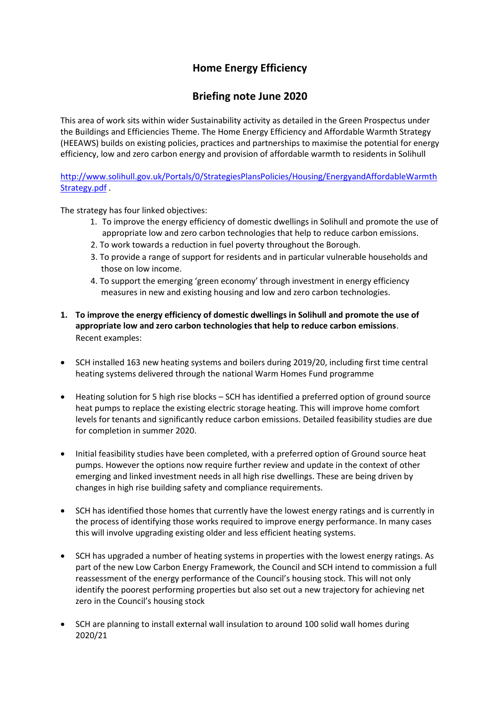# **Home Energy Efficiency**

## **Briefing note June 2020**

This area of work sits within wider Sustainability activity as detailed in the Green Prospectus under the Buildings and Efficiencies Theme. The Home Energy Efficiency and Affordable Warmth Strategy (HEEAWS) builds on existing policies, practices and partnerships to maximise the potential for energy efficiency, low and zero carbon energy and provision of affordable warmth to residents in Solihull

[http://www.solihull.gov.uk/Portals/0/StrategiesPlansPolicies/Housing/EnergyandAffordableWarmth](http://www.solihull.gov.uk/Portals/0/StrategiesPlansPolicies/Housing/EnergyandAffordableWarmthStrategy.pdf) [Strategy.pdf](http://www.solihull.gov.uk/Portals/0/StrategiesPlansPolicies/Housing/EnergyandAffordableWarmthStrategy.pdf) .

The strategy has four linked objectives:

- 1. To improve the energy efficiency of domestic dwellings in Solihull and promote the use of appropriate low and zero carbon technologies that help to reduce carbon emissions.
- 2. To work towards a reduction in fuel poverty throughout the Borough.
- 3. To provide a range of support for residents and in particular vulnerable households and those on low income.
- 4. To support the emerging 'green economy' through investment in energy efficiency measures in new and existing housing and low and zero carbon technologies.
- **1. To improve the energy efficiency of domestic dwellings in Solihull and promote the use of appropriate low and zero carbon technologies that help to reduce carbon emissions**. Recent examples:
- SCH installed 163 new heating systems and boilers during 2019/20, including first time central heating systems delivered through the national Warm Homes Fund programme
- Heating solution for 5 high rise blocks SCH has identified a preferred option of ground source heat pumps to replace the existing electric storage heating. This will improve home comfort levels for tenants and significantly reduce carbon emissions. Detailed feasibility studies are due for completion in summer 2020.
- Initial feasibility studies have been completed, with a preferred option of Ground source heat pumps. However the options now require further review and update in the context of other emerging and linked investment needs in all high rise dwellings. These are being driven by changes in high rise building safety and compliance requirements.
- SCH has identified those homes that currently have the lowest energy ratings and is currently in the process of identifying those works required to improve energy performance. In many cases this will involve upgrading existing older and less efficient heating systems.
- SCH has upgraded a number of heating systems in properties with the lowest energy ratings. As part of the new Low Carbon Energy Framework, the Council and SCH intend to commission a full reassessment of the energy performance of the Council's housing stock. This will not only identify the poorest performing properties but also set out a new trajectory for achieving net zero in the Council's housing stock
- SCH are planning to install external wall insulation to around 100 solid wall homes during 2020/21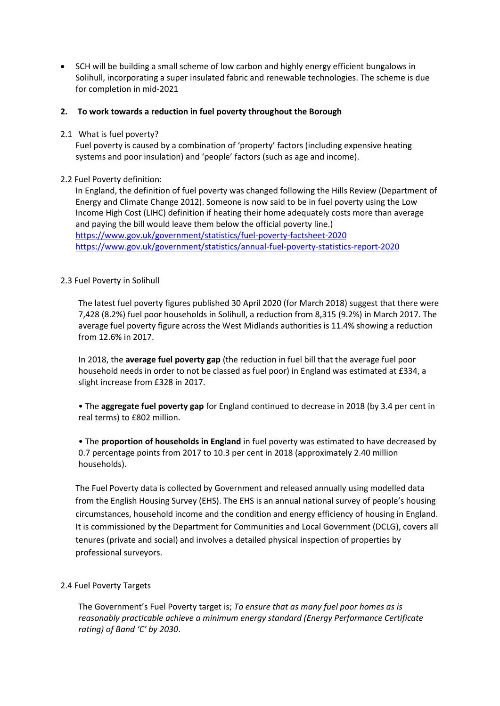• SCH will be building a small scheme of low carbon and highly energy efficient bungalows in Solihull, incorporating a super insulated fabric and renewable technologies. The scheme is due for completion in mid-2021

#### **2. To work towards a reduction in fuel poverty throughout the Borough**

2.1 What is fuel poverty?

Fuel poverty is caused by a combination of 'property' factors (including expensive heating systems and poor insulation) and 'people' factors (such as age and income).

## 2.2 Fuel Poverty definition:

In England, the definition of fuel poverty was changed following the Hills Review (Department of Energy and Climate Change 2012). Someone is now said to be in fuel poverty using the Low Income High Cost (LIHC) definition if heating their home adequately costs more than average and paying the bill would leave them below the official poverty line.) <https://www.gov.uk/government/statistics/fuel-poverty-factsheet-2020> <https://www.gov.uk/government/statistics/annual-fuel-poverty-statistics-report-2020>

## 2.3 Fuel Poverty in Solihull

The latest fuel poverty figures published 30 April 2020 (for March 2018) suggest that there were 7,428 (8.2%) fuel poor households in Solihull, a reduction from 8,315 (9.2%) in March 2017. The average fuel poverty figure across the West Midlands authorities is 11.4% showing a reduction from 12.6% in 2017.

In 2018, the **average fuel poverty gap** (the reduction in fuel bill that the average fuel poor household needs in order to not be classed as fuel poor) in England was estimated at £334, a slight increase from £328 in 2017.

• The **aggregate fuel poverty gap** for England continued to decrease in 2018 (by 3.4 per cent in real terms) to £802 million.

• The **proportion of households in England** in fuel poverty was estimated to have decreased by 0.7 percentage points from 2017 to 10.3 per cent in 2018 (approximately 2.40 million households).

The Fuel Poverty data is collected by Government and released annually using modelled data from the English Housing Survey (EHS). The EHS is an annual national survey of people's housing circumstances, household income and the condition and energy efficiency of housing in England. It is commissioned by the Department for Communities and Local Government (DCLG), covers all tenures (private and social) and involves a detailed physical inspection of properties by professional surveyors.

#### 2.4 Fuel Poverty Targets

The Government's Fuel Poverty target is; *To ensure that as many fuel poor homes as is reasonably practicable achieve a minimum energy standard (Energy Performance Certificate rating) of Band 'C' by 2030*.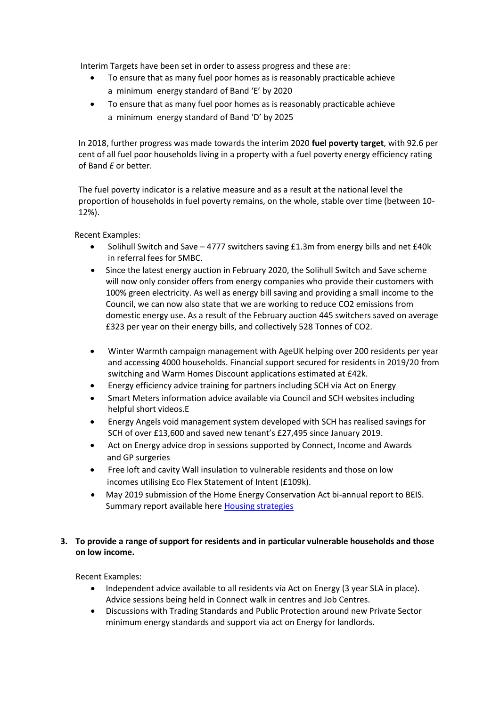Interim Targets have been set in order to assess progress and these are:

- To ensure that as many fuel poor homes as is reasonably practicable achieve a minimum energy standard of Band 'E' by 2020
- To ensure that as many fuel poor homes as is reasonably practicable achieve a minimum energy standard of Band 'D' by 2025

In 2018, further progress was made towards the interim 2020 **fuel poverty target**, with 92.6 per cent of all fuel poor households living in a property with a fuel poverty energy efficiency rating of Band *E* or better.

The fuel poverty indicator is a relative measure and as a result at the national level the proportion of households in fuel poverty remains, on the whole, stable over time (between 10- 12%).

Recent Examples:

- Solihull Switch and Save 4777 switchers saving £1.3m from energy bills and net £40k in referral fees for SMBC.
- Since the latest energy auction in February 2020, the Solihull Switch and Save scheme will now only consider offers from energy companies who provide their customers with 100% green electricity. As well as energy bill saving and providing a small income to the Council, we can now also state that we are working to reduce CO2 emissions from domestic energy use. As a result of the February auction 445 switchers saved on average £323 per year on their energy bills, and collectively 528 Tonnes of CO2.
- Winter Warmth campaign management with AgeUK helping over 200 residents per year and accessing 4000 households. Financial support secured for residents in 2019/20 from switching and Warm Homes Discount applications estimated at £42k.
- Energy efficiency advice training for partners including SCH via Act on Energy
- Smart Meters information advice available via Council and SCH websites including helpful short videos.E
- Energy Angels void management system developed with SCH has realised savings for SCH of over £13,600 and saved new tenant's £27,495 since January 2019.
- Act on Energy advice drop in sessions supported by Connect, Income and Awards and GP surgeries
- Free loft and cavity Wall insulation to vulnerable residents and those on low incomes utilising Eco Flex Statement of Intent (£109k).
- May 2019 submission of the Home Energy Conservation Act bi-annual report to BEIS. Summary report available here [Housing strategies](https://www.solihull.gov.uk/About-the-Council/Strategies-policies/housing)

## **3. To provide a range of support for residents and in particular vulnerable households and those on low income.**

Recent Examples:

- Independent advice available to all residents via Act on Energy (3 year SLA in place). Advice sessions being held in Connect walk in centres and Job Centres.
- Discussions with Trading Standards and Public Protection around new Private Sector minimum energy standards and support via act on Energy for landlords.